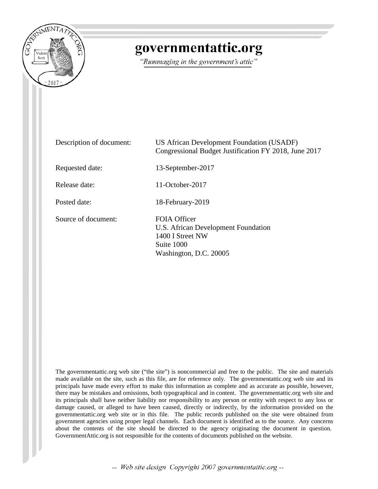

# governmentattic.org

"Rummaging in the government's attic"

| Description of document: | US African Development Foundation (USADF)<br>Congressional Budget Justification FY 2018, June 2017                     |
|--------------------------|------------------------------------------------------------------------------------------------------------------------|
| Requested date:          | 13-September-2017                                                                                                      |
| Release date:            | $11$ -October-2017                                                                                                     |
| Posted date:             | 18-February-2019                                                                                                       |
| Source of document:      | <b>FOIA Officer</b><br>U.S. African Development Foundation<br>1400 I Street NW<br>Suite 1000<br>Washington, D.C. 20005 |

The governmentattic.org web site ("the site") is noncommercial and free to the public. The site and materials made available on the site, such as this file, are for reference only. The governmentattic.org web site and its principals have made every effort to make this information as complete and as accurate as possible, however, there may be mistakes and omissions, both typographical and in content. The governmentattic.org web site and its principals shall have neither liability nor responsibility to any person or entity with respect to any loss or damage caused, or alleged to have been caused, directly or indirectly, by the information provided on the governmentattic.org web site or in this file. The public records published on the site were obtained from government agencies using proper legal channels. Each document is identified as to the source. Any concerns about the contents of the site should be directed to the agency originating the document in question. GovernmentAttic.org is not responsible for the contents of documents published on the website.

-- Web site design Copyright 2007 governmentattic.org --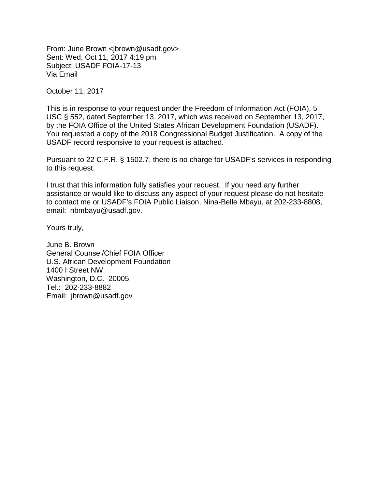From: June Brown <jbrown@usadf.gov> Sent: Wed, Oct 11, 2017 4:19 pm Subject: USADF FOIA-17-13 Via Email

October 11, 2017

This is in response to your request under the Freedom of Information Act (FOIA), 5 USC § 552, dated September 13, 2017, which was received on September 13, 2017, by the FOIA Office of the United States African Development Foundation (USADF). You requested a copy of the 2018 Congressional Budget Justification. A copy of the USADF record responsive to your request is attached.

Pursuant to 22 C.F.R. § 1502.7, there is no charge for USADF's services in responding to this request.

I trust that this information fully satisfies your request. If you need any further assistance or would like to discuss any aspect of your request please do not hesitate to contact me or USADF's FOIA Public Liaison, Nina-Belle Mbayu, at 202-233-8808, email: nbmbayu@usadf.gov.

Yours truly,

June B. Brown General Counsel/Chief FOIA Officer U.S. African Development Foundation 1400 I Street NW Washington, D.C. 20005 Tel.: 202-233-8882 Email: jbrown@usadf.gov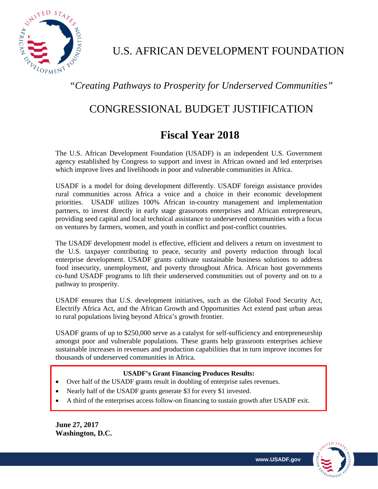

# U.S. AFRICAN DEVELOPMENT FOUNDATION

*"Creating Pathways to Prosperity for Underserved Communities"*

# CONGRESSIONAL BUDGET JUSTIFICATION

# **Fiscal Year 2018**

The U.S. African Development Foundation (USADF) is an independent U.S. Government agency established by Congress to support and invest in African owned and led enterprises which improve lives and livelihoods in poor and vulnerable communities in Africa.

USADF is a model for doing development differently. USADF foreign assistance provides rural communities across Africa a voice and a choice in their economic development priorities. USADF utilizes 100% African in-country management and implementation partners, to invest directly in early stage grassroots enterprises and African entrepreneurs, providing seed capital and local technical assistance to underserved communities with a focus on ventures by farmers, women, and youth in conflict and post-conflict countries.

The USADF development model is effective, efficient and delivers a return on investment to the U.S. taxpayer contributing to peace, security and poverty reduction through local enterprise development. USADF grants cultivate sustainable business solutions to address food insecurity, unemployment, and poverty throughout Africa. African host governments co-fund USADF programs to lift their underserved communities out of poverty and on to a pathway to prosperity.

USADF ensures that U.S. development initiatives, such as the Global Food Security Act, Electrify Africa Act, and the African Growth and Opportunities Act extend past urban areas to rural populations living beyond Africa's growth frontier.

USADF grants of up to \$250,000 serve as a catalyst for self-sufficiency and entrepreneurship amongst poor and vulnerable populations. These grants help grassroots enterprises achieve sustainable increases in revenues and production capabilities that in turn improve incomes for thousands of underserved communities in Africa.

# **USADF's Grant Financing Produces Results:**

- Over half of the USADF grants result in doubling of enterprise sales revenues.
- Nearly half of the USADF grants generate \$3 for every \$1 invested.
- A third of the enterprises access follow-on financing to sustain growth after USADF exit.

**June 27, 2017 Washington, D.C.**



**www.USADF.gov**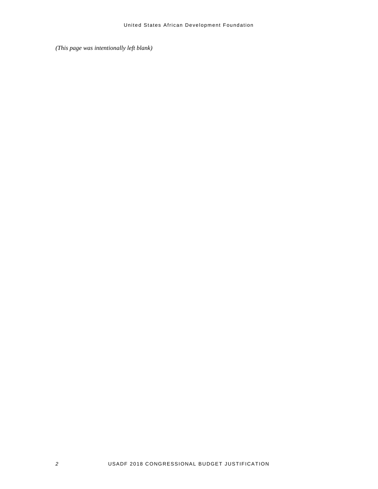*(This page was intentionally left blank)*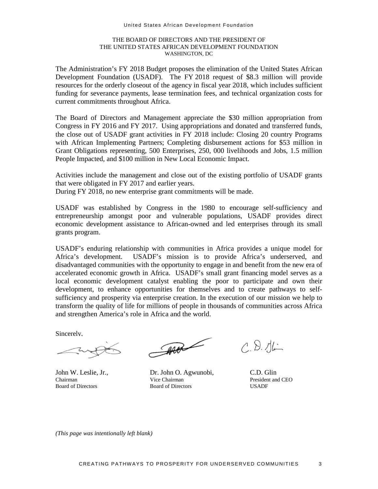#### THE BOARD OF DIRECTORS AND THE PRESIDENT OF THE UNITED STATES AFRICAN DEVELOPMENT FOUNDATION WASHINGTON, DC

The Administration's FY 2018 Budget proposes the elimination of the United States African Development Foundation (USADF). The FY 2018 request of \$8.3 million will provide resources for the orderly closeout of the agency in fiscal year 2018, which includes sufficient funding for severance payments, lease termination fees, and technical organization costs for current commitments throughout Africa.

The Board of Directors and Management appreciate the \$30 million appropriation from Congress in FY 2016 and FY 2017. Using appropriations and donated and transferred funds, the close out of USADF grant activities in FY 2018 include: Closing 20 country Programs with African Implementing Partners; Completing disbursement actions for \$53 million in Grant Obligations representing, 500 Enterprises, 250, 000 livelihoods and Jobs, 1.5 million People Impacted, and \$100 million in New Local Economic Impact.

Activities include the management and close out of the existing portfolio of USADF grants that were obligated in FY 2017 and earlier years.

During FY 2018, no new enterprise grant commitments will be made.

USADF was established by Congress in the 1980 to encourage self-sufficiency and entrepreneurship amongst poor and vulnerable populations, USADF provides direct economic development assistance to African-owned and led enterprises through its small grants program.

USADF's enduring relationship with communities in Africa provides a unique model for Africa's development. USADF's mission is to provide Africa's underserved, and disadvantaged communities with the opportunity to engage in and benefit from the new era of accelerated economic growth in Africa. USADF's small grant financing model serves as a local economic development catalyst enabling the poor to participate and own their development, to enhance opportunities for themselves and to create pathways to selfsufficiency and prosperity via enterprise creation. In the execution of our mission we help to transform the quality of life for millions of people in thousands of communities across Africa and strengthen America's role in Africa and the world.

Sincerely,

 $\begin{picture}(120,10) \put(0,0){\line(1,0){10}} \put(15,0){\line(1,0){10}} \put(15,0){\line(1,0){10}} \put(15,0){\line(1,0){10}} \put(15,0){\line(1,0){10}} \put(15,0){\line(1,0){10}} \put(15,0){\line(1,0){10}} \put(15,0){\line(1,0){10}} \put(15,0){\line(1,0){10}} \put(15,0){\line(1,0){10}} \put(15,0){\line(1,0){10}} \put(15,0){\line($ 

John W. Leslie, Jr., Dr. John O. Agwunobi, C.D. Glin Chairman Vice Chairman President and CEO Board of Directors Board of Directors USADF

 $C. D. 74$ 

*(This page was intentionally left blank)*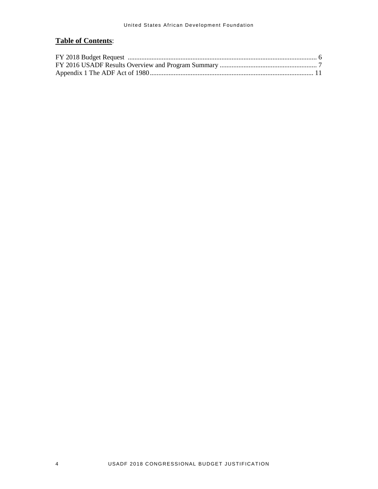# **Table of Contents**: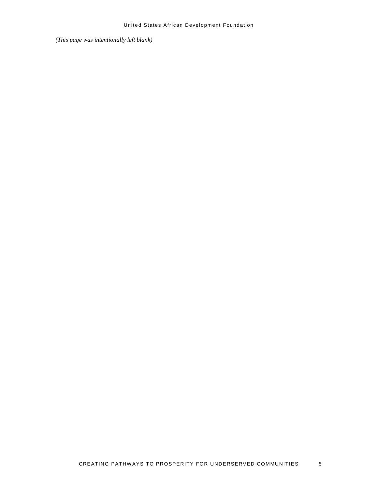*(This page was intentionally left blank)*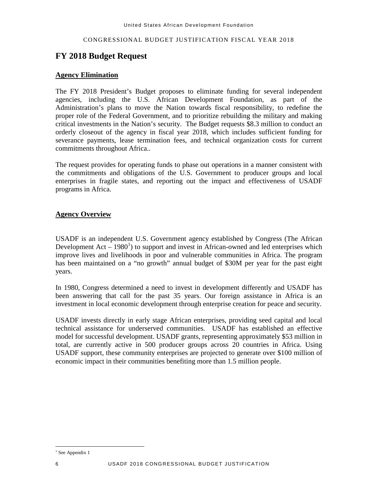#### CONGRESSIONAL BUDGET JUSTIFICATION FISCAL YEAR 2018

# <span id="page-7-0"></span>**FY 2018 Budget Request**

### **Agency Elimination**

The FY 2018 President's Budget proposes to eliminate funding for several independent agencies, including the U.S. African Development Foundation, as part of the Administration's plans to move the Nation towards fiscal responsibility, to redefine the proper role of the Federal Government, and to prioritize rebuilding the military and making critical investments in the Nation's security. The Budget requests \$8.3 million to conduct an orderly closeout of the agency in fiscal year 2018, which includes sufficient funding for severance payments, lease termination fees, and technical organization costs for current commitments throughout Africa..

The request provides for operating funds to phase out operations in a manner consistent with the commitments and obligations of the U.S. Government to producer groups and local enterprises in fragile states, and reporting out the impact and effectiveness of USADF programs in Africa.

## **Agency Overview**

USADF is an independent U.S. Government agency established by Congress (The African Development  $Act - 1980<sup>1</sup>$  $Act - 1980<sup>1</sup>$  $Act - 1980<sup>1</sup>$ ) to support and invest in African-owned and led enterprises which improve lives and livelihoods in poor and vulnerable communities in Africa. The program has been maintained on a "no growth" annual budget of \$30M per year for the past eight years.

In 1980, Congress determined a need to invest in development differently and USADF has been answering that call for the past 35 years. Our foreign assistance in Africa is an investment in local economic development through enterprise creation for peace and security.

USADF invests directly in early stage African enterprises, providing seed capital and local technical assistance for underserved communities. USADF has established an effective model for successful development. USADF grants, representing approximately \$53 million in total, are currently active in 500 producer groups across 20 countries in Africa. Using USADF support, these community enterprises are projected to generate over \$100 million of economic impact in their communities benefiting more than 1.5 million people.

<span id="page-7-1"></span> $1$  See Appendix 1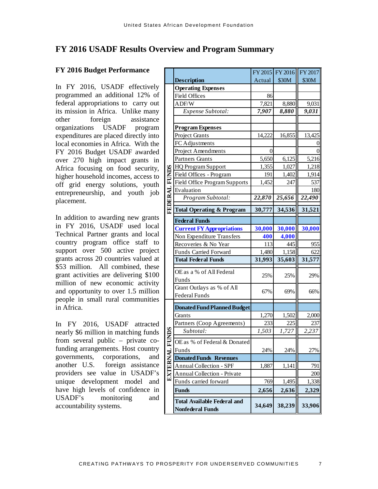# <span id="page-8-0"></span>**FY 2016 USADF Results Overview and Program Summary**

# **FY 2016 Budget Performance**

In FY 2016, USADF effectively programmed an additional 12% of federal appropriations to carry out its mission in Africa. Unlike many other foreign assistance organizations USADF program expenditures are placed directly into local economies in Africa. With the FY 2016 Budget USADF awarded over 270 high impact grants in Africa focusing on food security, higher household incomes, access to off grid energy solutions, youth entrepreneurship, and youth job placement.

In addition to awarding new grants in FY 2016, USADF used local Technical Partner grants and local country program office staff to support over 500 active project grants across 20 countries valued at \$53 million. All combined, these grant activities are delivering \$100 million of new economic activity and opportunity to over 1.5 million people in small rural communities in Africa.

In FY 2016, USADF attracted nearly \$6 million in matching funds from several public – private cofunding arrangements. Host country governments, corporations, and another U.S. foreign assistance providers see value in USADF's unique development model and have high levels of confidence in USADF's monitoring and accountability systems.

|               |                                                               |        | FY 2015 FY 2016 | FY 2017            |
|---------------|---------------------------------------------------------------|--------|-----------------|--------------------|
|               | <b>Description</b>                                            | Actual | \$30M           | \$30M              |
| FEDERAL FUNDS | <b>Operating Expenses</b>                                     |        |                 |                    |
|               | <b>Field Offices</b>                                          | 86     |                 |                    |
|               | ADF/W                                                         | 7,821  | 8,880           | 9,031              |
|               | Expense Subtotal:                                             | 7,907  | 8,880           | $\overline{9,}031$ |
|               |                                                               |        |                 |                    |
|               | <b>Program Expenses</b>                                       |        |                 |                    |
|               | Project Grants                                                | 14,222 | 16,855          | 13,425             |
|               | FC Adjustments                                                |        |                 |                    |
|               | Project Amendments                                            | 0      |                 | 0                  |
|               | Partners Grants                                               | 5,650  | 6,125           | 5,216              |
|               | <b>HQ Program Support</b>                                     | 1,355  | 1,027           | 1,218              |
|               | Field Offices - Program                                       | 191    | 1,402           | 1,914              |
|               | Field Office Program Supports                                 | 1,452  | 247             | 537                |
|               | Evaluation                                                    |        |                 | 180                |
|               | Program Subtotal:                                             | 22,870 | 25,656          | 22,490             |
|               |                                                               |        |                 |                    |
|               | <b>Total Operating &amp; Program</b>                          | 30,777 | 34,536          | 31,521             |
|               | <b>Federal Funds</b>                                          |        |                 |                    |
|               | <b>Current FY Appropriations</b>                              | 30,000 | 30,000          | 30,000             |
|               | Non Expenditure Transfers                                     | 400    | 4,000           |                    |
|               | Recoveries & No Year                                          | 113    | 445             | 955                |
|               | Funds Carried Forward                                         | 1,480  | 1,158           | 622                |
|               | <b>Total Federal Funds</b>                                    | 31,993 | 35,603          | 31,577             |
|               | OE as a % of All Federal                                      |        |                 |                    |
|               |                                                               | 25%    | 25%             | 29%                |
|               | Funds<br>Grant Outlays as % of All                            |        |                 |                    |
|               | Federal Funds                                                 | 67%    | 69%             | 66%                |
|               |                                                               |        |                 |                    |
|               | <b>Donated Fund Planned Budget</b>                            |        |                 |                    |
|               | Grants                                                        | 1,270  | 1,502           | 2,000              |
|               | Partners (Coop Agreements)                                    | 233    | 225             | 237                |
|               | Subtotal:                                                     | 1,503  | 1,727           | 2,237              |
| <b>FUNDS</b>  | OE as % of Federal & Donated                                  |        |                 |                    |
|               | Funds                                                         | 24%    | 24%             | 27%                |
|               | <b>Donated Funds Revenues</b>                                 |        |                 |                    |
| EXTERNAL      | <b>Annual Collection - SPF</b>                                |        |                 |                    |
|               |                                                               | 1,887  | 1,141           | 791                |
|               | Annual Collection - Private<br>Funds carried forward          |        |                 | 200                |
|               |                                                               | 769    | 1,495           | 1,338              |
|               | <b>Funds</b>                                                  | 2,656  | 2,636           | 2,329              |
|               | <b>Total Available Federal and</b><br><b>Nonfederal Funds</b> | 34,649 | 38,239          | 33,906             |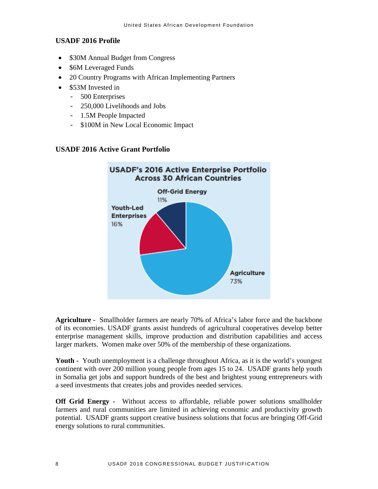# **USADF 2016 Profile**

- \$30M Annual Budget from Congress
- \$6M Leveraged Funds
- 20 Country Programs with African Implementing Partners
- \$53M Invested in
	- 500 Enterprises
	- 250,000 Livelihoods and Jobs
	- 1.5M People Impacted
	- \$100M in New Local Economic Impact



## **USADF 2016 Active Grant Portfolio**

**Agriculture -** Smallholder farmers are nearly 70% of Africa's labor force and the backbone of its economies. USADF grants assist hundreds of agricultural cooperatives develop better enterprise management skills, improve production and distribution capabilities and access larger markets. Women make over 50% of the membership of these organizations.

**Youth -** Youth unemployment is a challenge throughout Africa, as it is the world's youngest continent with over 200 million young people from ages 15 to 24. USADF grants help youth in Somalia get jobs and support hundreds of the best and brightest young entrepreneurs with a seed investments that creates jobs and provides needed services.

**Off Grid Energy -** Without access to affordable, reliable power solutions smallholder farmers and rural communities are limited in achieving economic and productivity growth potential. USADF grants support creative business solutions that focus are bringing Off-Grid energy solutions to rural communities.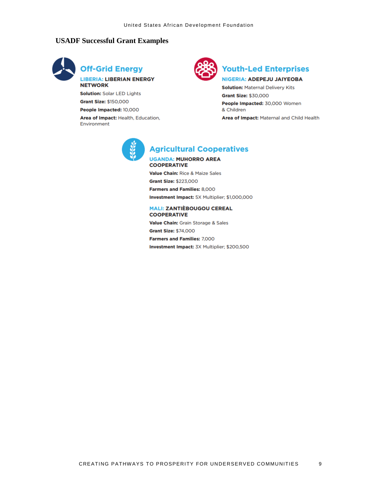# **USADF Successful Grant Examples**



### **Off-Grid Energy LIBERIA: LIBERIAN ENERGY NETWORK**

**Solution: Solar LED Lights** 

**Grant Size: \$150,000** 

People Impacted: 10,000

Area of Impact: Health, Education, Environment



# **Youth-Led Enterprises** NIGERIA: ADEPEJU JAIYEOBA

**Solution: Maternal Delivery Kits** Grant Size: \$30,000 People Impacted: 30,000 Women & Children Area of Impact: Maternal and Child Health



# **Agricultural Cooperatives**

#### **UGANDA: MUHORRO AREA COOPERATIVE**

Value Chain: Rice & Maize Sales Grant Size: \$223,000 **Farmers and Families: 8,000** Investment Impact: 5X Multiplier; \$1,000,000

#### **MALI: ZANTIÈBOUGOU CEREAL COOPERATIVE**

Value Chain: Grain Storage & Sales **Grant Size: \$74,000 Farmers and Families: 7,000** 

Investment Impact: 3X Multiplier; \$200,500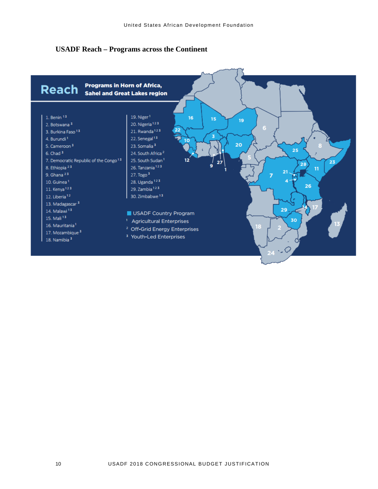# **USADF Reach – Programs across the Continent**

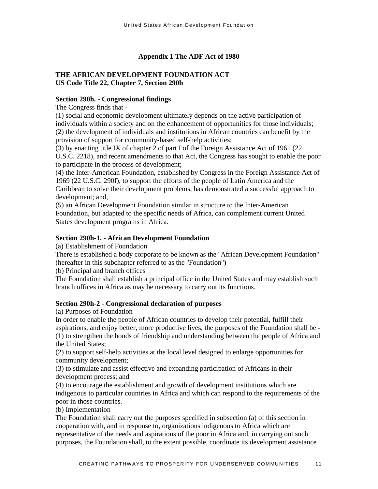# **Appendix 1 The ADF Act of 1980**

# <span id="page-12-0"></span>**THE AFRICAN DEVELOPMENT FOUNDATION ACT US Code Title 22, Chapter 7, Section 290h**

## **Section 290h. - Congressional findings**

The Congress finds that -

(1) social and economic development ultimately depends on the active participation of individuals within a society and on the enhancement of opportunities for those individuals; (2) the development of individuals and institutions in African countries can benefit by the provision of support for community-based self-help activities;

(3) by enacting title IX of chapter 2 of part I of the Foreign Assistance Act of 1961 (22 U.S.C. 2218), and recent amendments to that Act, the Congress has sought to enable the poor to participate in the process of development;

(4) the Inter-American Foundation, established by Congress in the Foreign Assistance Act of 1969 (22 U.S.C. 290f), to support the efforts of the people of Latin America and the Caribbean to solve their development problems, has demonstrated a successful approach to development; and,

(5) an African Development Foundation similar in structure to the Inter-American Foundation, but adapted to the specific needs of Africa, can complement current United States development programs in Africa.

#### **Section 290h-1. - African Development Foundation**

(a) Establishment of Foundation

There is established a body corporate to be known as the ''African Development Foundation'' (hereafter in this subchapter referred to as the ''Foundation'')

(b) Principal and branch offices

The Foundation shall establish a principal office in the United States and may establish such branch offices in Africa as may be necessary to carry out its functions.

#### **Section 290h-2 - Congressional declaration of purposes**

(a) Purposes of Foundation

In order to enable the people of African countries to develop their potential, fulfill their aspirations, and enjoy better, more productive lives, the purposes of the Foundation shall be - (1) to strengthen the bonds of friendship and understanding between the people of Africa and the United States;

(2) to support self-help activities at the local level designed to enlarge opportunities for community development;

(3) to stimulate and assist effective and expanding participation of Africans in their development process; and

(4) to encourage the establishment and growth of development institutions which are indigenous to particular countries in Africa and which can respond to the requirements of the poor in those countries.

(b) Implementation

The Foundation shall carry out the purposes specified in subsection (a) of this section in cooperation with, and in response to, organizations indigenous to Africa which are representative of the needs and aspirations of the poor in Africa and, in carrying out such purposes, the Foundation shall, to the extent possible, coordinate its development assistance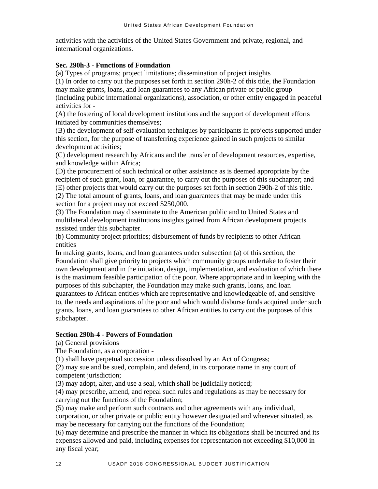activities with the activities of the United States Government and private, regional, and international organizations.

## **Sec. 290h-3 - Functions of Foundation**

(a) Types of programs; project limitations; dissemination of project insights

(1) In order to carry out the purposes set forth in section 290h-2 of this title, the Foundation may make grants, loans, and loan guarantees to any African private or public group (including public international organizations), association, or other entity engaged in peaceful activities for -

(A) the fostering of local development institutions and the support of development efforts initiated by communities themselves;

(B) the development of self-evaluation techniques by participants in projects supported under this section, for the purpose of transferring experience gained in such projects to similar development activities;

(C) development research by Africans and the transfer of development resources, expertise, and knowledge within Africa;

(D) the procurement of such technical or other assistance as is deemed appropriate by the recipient of such grant, loan, or guarantee, to carry out the purposes of this subchapter; and (E) other projects that would carry out the purposes set forth in section 290h-2 of this title. (2) The total amount of grants, loans, and loan guarantees that may be made under this

section for a project may not exceed \$250,000.

(3) The Foundation may disseminate to the American public and to United States and multilateral development institutions insights gained from African development projects assisted under this subchapter.

(b) Community project priorities; disbursement of funds by recipients to other African entities

In making grants, loans, and loan guarantees under subsection (a) of this section, the Foundation shall give priority to projects which community groups undertake to foster their own development and in the initiation, design, implementation, and evaluation of which there is the maximum feasible participation of the poor. Where appropriate and in keeping with the purposes of this subchapter, the Foundation may make such grants, loans, and loan guarantees to African entities which are representative and knowledgeable of, and sensitive to, the needs and aspirations of the poor and which would disburse funds acquired under such grants, loans, and loan guarantees to other African entities to carry out the purposes of this subchapter.

# **Section 290h-4 - Powers of Foundation**

(a) General provisions

The Foundation, as a corporation -

(1) shall have perpetual succession unless dissolved by an Act of Congress;

(2) may sue and be sued, complain, and defend, in its corporate name in any court of competent jurisdiction;

(3) may adopt, alter, and use a seal, which shall be judicially noticed;

(4) may prescribe, amend, and repeal such rules and regulations as may be necessary for carrying out the functions of the Foundation;

(5) may make and perform such contracts and other agreements with any individual, corporation, or other private or public entity however designated and wherever situated, as may be necessary for carrying out the functions of the Foundation;

(6) may determine and prescribe the manner in which its obligations shall be incurred and its expenses allowed and paid, including expenses for representation not exceeding \$10,000 in any fiscal year;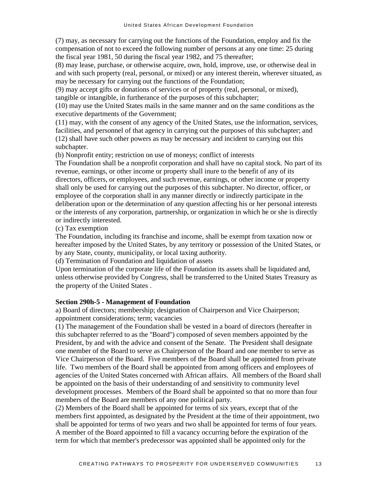(7) may, as necessary for carrying out the functions of the Foundation, employ and fix the compensation of not to exceed the following number of persons at any one time: 25 during the fiscal year 1981, 50 during the fiscal year 1982, and 75 thereafter;

(8) may lease, purchase, or otherwise acquire, own, hold, improve, use, or otherwise deal in and with such property (real, personal, or mixed) or any interest therein, wherever situated, as may be necessary for carrying out the functions of the Foundation;

(9) may accept gifts or donations of services or of property (real, personal, or mixed), tangible or intangible, in furtherance of the purposes of this subchapter;

(10) may use the United States mails in the same manner and on the same conditions as the executive departments of the Government;

(11) may, with the consent of any agency of the United States, use the information, services, facilities, and personnel of that agency in carrying out the purposes of this subchapter; and (12) shall have such other powers as may be necessary and incident to carrying out this subchapter.

(b) Nonprofit entity; restriction on use of moneys; conflict of interests

The Foundation shall be a nonprofit corporation and shall have no capital stock. No part of its revenue, earnings, or other income or property shall inure to the benefit of any of its directors, officers, or employees, and such revenue, earnings, or other income or property shall only be used for carrying out the purposes of this subchapter. No director, officer, or employee of the corporation shall in any manner directly or indirectly participate in the deliberation upon or the determination of any question affecting his or her personal interests or the interests of any corporation, partnership, or organization in which he or she is directly or indirectly interested.

(c) Tax exemption

The Foundation, including its franchise and income, shall be exempt from taxation now or hereafter imposed by the United States, by any territory or possession of the United States, or by any State, county, municipality, or local taxing authority.

(d) Termination of Foundation and liquidation of assets

Upon termination of the corporate life of the Foundation its assets shall be liquidated and, unless otherwise provided by Congress, shall be transferred to the United States Treasury as the property of the United States .

# **Section 290h-5 - Management of Foundation**

a) Board of directors; membership; designation of Chairperson and Vice Chairperson; appointment considerations; term; vacancies

(1) The management of the Foundation shall be vested in a board of directors (hereafter in this subchapter referred to as the ''Board'') composed of seven members appointed by the President, by and with the advice and consent of the Senate. The President shall designate one member of the Board to serve as Chairperson of the Board and one member to serve as Vice Chairperson of the Board. Five members of the Board shall be appointed from private life. Two members of the Board shall be appointed from among officers and employees of agencies of the United States concerned with African affairs. All members of the Board shall be appointed on the basis of their understanding of and sensitivity to community level development processes. Members of the Board shall be appointed so that no more than four members of the Board are members of any one political party.

(2) Members of the Board shall be appointed for terms of six years, except that of the members first appointed, as designated by the President at the time of their appointment, two shall be appointed for terms of two years and two shall be appointed for terms of four years. A member of the Board appointed to fill a vacancy occurring before the expiration of the term for which that member's predecessor was appointed shall be appointed only for the